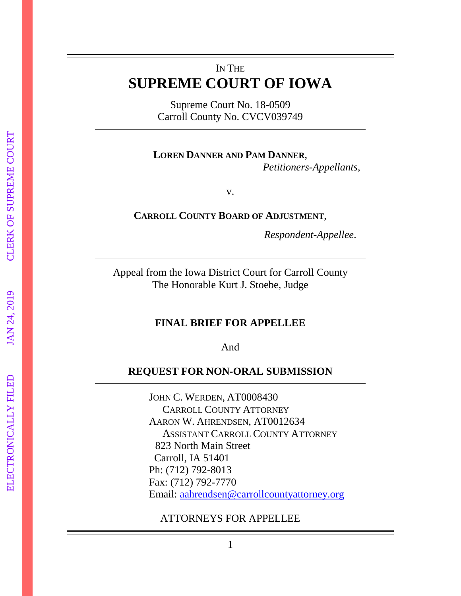# IN THE **SUPREME COURT OF IOWA**

Supreme Court No. 18 -0509 Carroll County No. CVCV039749

**LOREN DANNER AND PAM DANNER** , *Petitioners -Appellants* ,

v.

**CARROLL COUNTY BOARD OF ADJUSTMENT,** 

*Respondent -Appellee* .

Appeal from the Iowa District Court for Carroll County The Honorable Kurt J. Stoebe, Judge

### **FINAL BRIEF FOR APPELLEE**

And

### **REQUEST FOR NON -ORAL SUBMISSION**

JOHN C. WERDEN, AT0008430 CARROLL COUNTY ATTORNEY AARON W. AHRENDSEN, AT0012634 ASSISTANT CARROLL COUNTY ATTORNEY 823 North Main Street Carroll, IA 51401 Ph: (712) 792 -8013 Fax: (712) 792 -7770 Email: [aahrendsen@carrollcountyattorney.o](mailto:aahrendsen@carrollcountyattorney.)rg

ATTORNEY S FOR APPELLEE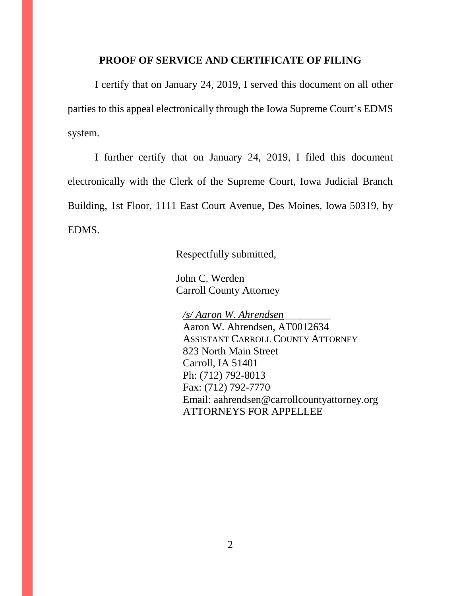#### **PROOF OF SERVICE AND CERTIFICATE OF FILING**

I certify that on January 24, 2019, I served this document on all other parties to this appeal electronically through the Iowa Supreme Court's EDMS system.

I further certify that on January 24, 2019, I filed this document electronically with the Clerk of the Supreme Court, Iowa Judicial Branch Building, 1st Floor, 1111 East Court Avenue, Des Moines, Iowa 50319, by EDMS.

Respectfully submitted,

John C. Werden Carroll County Attorney

*/s/ Aaron W. Ahrendsen\_\_\_\_\_\_\_\_\_* Aaron W. Ahrendsen, AT0012634 ASSISTANT CARROLL COUNTY ATTORNEY 823 North Main Street Carroll, IA 51401 Ph: (712) 792-8013 Fax: (712) 792-7770 Email: aahrendsen@carrollcountyattorney.org ATTORNEYS FOR APPELLEE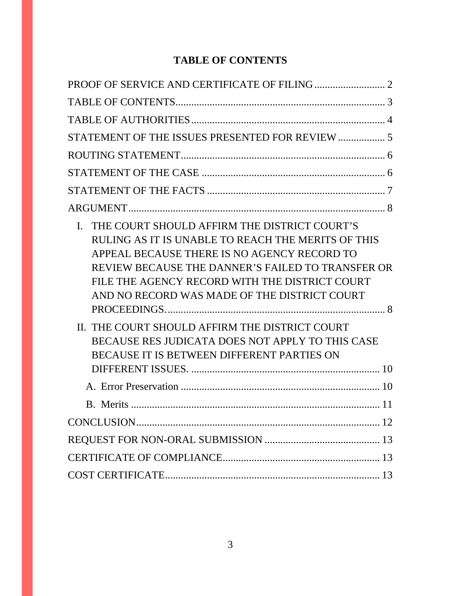## **TABLE OF CONTENTS**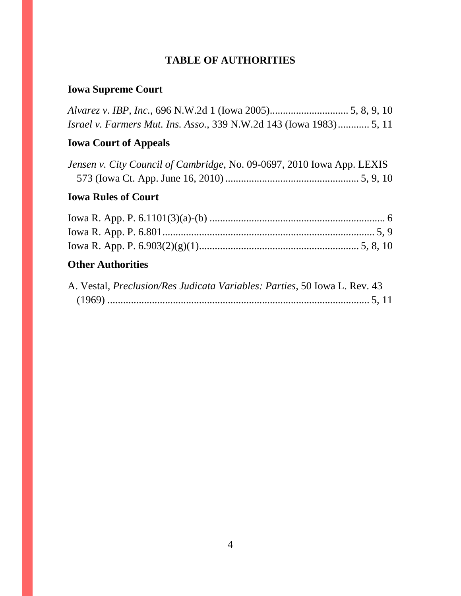## **TABLE OF AUTHORITIES**

# **Iowa Supreme Court**

| <i>Israel v. Farmers Mut. Ins. Asso.</i> , 339 N.W.2d 143 (Iowa 1983) 5, 11 |  |
|-----------------------------------------------------------------------------|--|

# **Iowa Court of Appeals**

| Jensen v. City Council of Cambridge, No. 09-0697, 2010 Iowa App. LEXIS |  |
|------------------------------------------------------------------------|--|
|                                                                        |  |

## **Iowa Rules of Court**

# **Other Authorities**

|  |  | A. Vestal, <i>Preclusion/Res Judicata Variables: Parties</i> , 50 Iowa L. Rev. 43 |  |  |  |
|--|--|-----------------------------------------------------------------------------------|--|--|--|
|  |  |                                                                                   |  |  |  |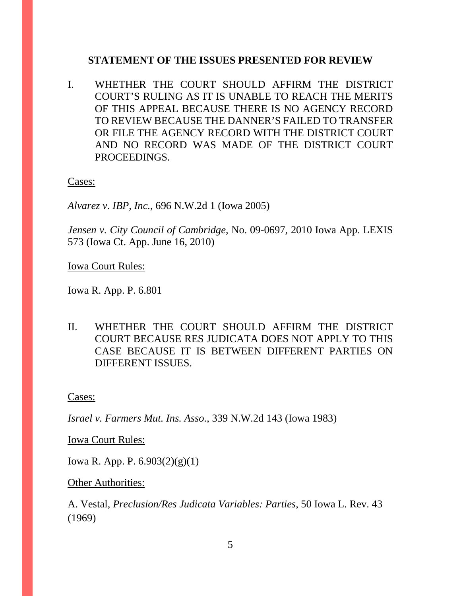## **STATEMENT OF THE ISSUES PRESENTED FOR REVIEW**

I. WHETHER THE COURT SHOULD AFFIRM THE DISTRICT COURT'S RULING AS IT IS UNABLE TO REACH THE MERITS OF THIS APPEAL BECAUSE THERE IS NO AGENCY RECORD TO REVIEW BECAUSE THE DANNER'S FAILED TO TRANSFER OR FILE THE AGENCY RECORD WITH THE DISTRICT COURT AND NO RECORD WAS MADE OF THE DISTRICT COURT PROCEEDINGS.

Cases:

*Alvarez v. IBP, Inc.*, 696 N.W.2d 1 (Iowa 2005)

*Jensen v. City Council of Cambridge*, No. 09-0697, 2010 Iowa App. LEXIS 573 (Iowa Ct. App. June 16, 2010)

Iowa Court Rules:

Iowa R. App. P. 6.801

II. WHETHER THE COURT SHOULD AFFIRM THE DISTRICT COURT BECAUSE RES JUDICATA DOES NOT APPLY TO THIS CASE BECAUSE IT IS BETWEEN DIFFERENT PARTIES ON DIFFERENT ISSUES.

Cases:

*Israel v. Farmers Mut. Ins. Asso.*, 339 N.W.2d 143 (Iowa 1983)

Iowa Court Rules:

Iowa R. App. P. 6.903(2)(g)(1)

Other Authorities:

A. Vestal, *Preclusion/Res Judicata Variables: Parties*, 50 Iowa L. Rev. 43 (1969)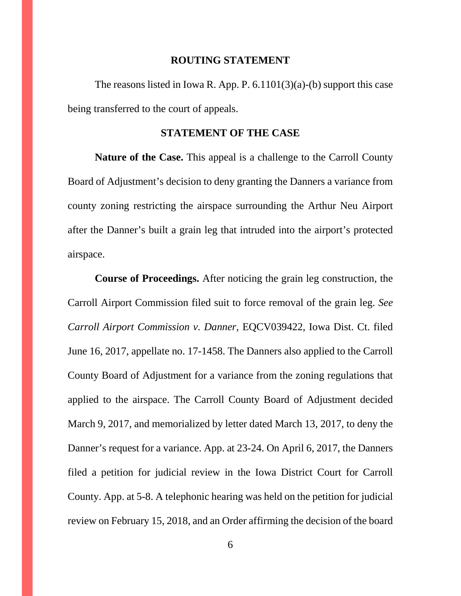#### **ROUTING STATEMENT**

The reasons listed in Iowa R. App. P. 6.1101(3)(a)-(b) support this case being transferred to the court of appeals.

#### **STATEMENT OF THE CASE**

**Nature of the Case.** This appeal is a challenge to the Carroll County Board of Adjustment's decision to deny granting the Danners a variance from county zoning restricting the airspace surrounding the Arthur Neu Airport after the Danner's built a grain leg that intruded into the airport's protected airspace.

**Course of Proceedings.** After noticing the grain leg construction, the Carroll Airport Commission filed suit to force removal of the grain leg. *See Carroll Airport Commission v. Danner*, EQCV039422, Iowa Dist. Ct. filed June 16, 2017, appellate no. 17-1458. The Danners also applied to the Carroll County Board of Adjustment for a variance from the zoning regulations that applied to the airspace. The Carroll County Board of Adjustment decided March 9, 2017, and memorialized by letter dated March 13, 2017, to deny the Danner's request for a variance. App. at 23-24. On April 6, 2017, the Danners filed a petition for judicial review in the Iowa District Court for Carroll County. App. at 5-8. A telephonic hearing was held on the petition for judicial review on February 15, 2018, and an Order affirming the decision of the board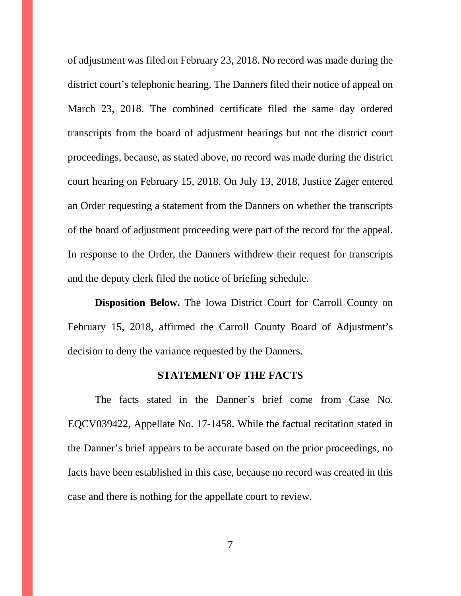of adjustment was filed on February 23, 2018. No record was made during the district court's telephonic hearing. The Danners filed their notice of appeal on March 23, 2018. The combined certificate filed the same day ordered transcripts from the board of adjustment hearings but not the district court proceedings, because, as stated above, no record was made during the district court hearing on February 15, 2018. On July 13, 2018, Justice Zager entered an Order requesting a statement from the Danners on whether the transcripts of the board of adjustment proceeding were part of the record for the appeal. In response to the Order, the Danners withdrew their request for transcripts and the deputy clerk filed the notice of briefing schedule.

**Disposition Below.** The Iowa District Court for Carroll County on February 15, 2018, affirmed the Carroll County Board of Adjustment's decision to deny the variance requested by the Danners.

#### **STATEMENT OF THE FACTS**

The facts stated in the Danner's brief come from Case No. EQCV039422, Appellate No. 17-1458. While the factual recitation stated in the Danner's brief appears to be accurate based on the prior proceedings, no facts have been established in this case, because no record was created in this case and there is nothing for the appellate court to review.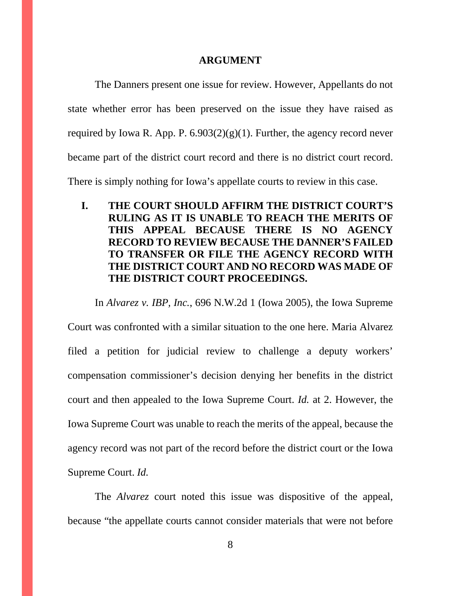#### **ARGUMENT**

The Danners present one issue for review. However, Appellants do not state whether error has been preserved on the issue they have raised as required by Iowa R. App. P.  $6.903(2)(g)(1)$ . Further, the agency record never became part of the district court record and there is no district court record. There is simply nothing for Iowa's appellate courts to review in this case.

## **I. THE COURT SHOULD AFFIRM THE DISTRICT COURT'S RULING AS IT IS UNABLE TO REACH THE MERITS OF THIS APPEAL BECAUSE THERE IS NO AGENCY RECORD TO REVIEW BECAUSE THE DANNER'S FAILED TO TRANSFER OR FILE THE AGENCY RECORD WITH THE DISTRICT COURT AND NO RECORD WAS MADE OF THE DISTRICT COURT PROCEEDINGS.**

In *Alvarez v. IBP, Inc.*, 696 N.W.2d 1 (Iowa 2005), the Iowa Supreme Court was confronted with a similar situation to the one here. Maria Alvarez filed a petition for judicial review to challenge a deputy workers' compensation commissioner's decision denying her benefits in the district court and then appealed to the Iowa Supreme Court. *Id.* at 2. However, the Iowa Supreme Court was unable to reach the merits of the appeal, because the agency record was not part of the record before the district court or the Iowa Supreme Court. *Id.*

The *Alvarez* court noted this issue was dispositive of the appeal, because "the appellate courts cannot consider materials that were not before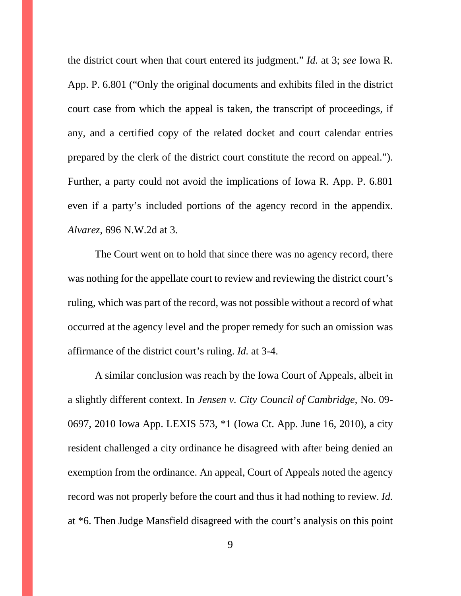the district court when that court entered its judgment." *Id.* at 3; *see* Iowa R. App. P. 6.801 ("Only the original documents and exhibits filed in the district court case from which the appeal is taken, the transcript of proceedings, if any, and a certified copy of the related docket and court calendar entries prepared by the clerk of the district court constitute the record on appeal."). Further, a party could not avoid the implications of Iowa R. App. P. 6.801 even if a party's included portions of the agency record in the appendix. *Alvarez*, 696 N.W.2d at 3.

The Court went on to hold that since there was no agency record, there was nothing for the appellate court to review and reviewing the district court's ruling, which was part of the record, was not possible without a record of what occurred at the agency level and the proper remedy for such an omission was affirmance of the district court's ruling. *Id.* at 3-4.

A similar conclusion was reach by the Iowa Court of Appeals, albeit in a slightly different context. In *Jensen v. City Council of Cambridge*, No. 09- 0697, 2010 Iowa App. LEXIS 573, \*1 (Iowa Ct. App. June 16, 2010), a city resident challenged a city ordinance he disagreed with after being denied an exemption from the ordinance. An appeal, Court of Appeals noted the agency record was not properly before the court and thus it had nothing to review. *Id.*  at \*6. Then Judge Mansfield disagreed with the court's analysis on this point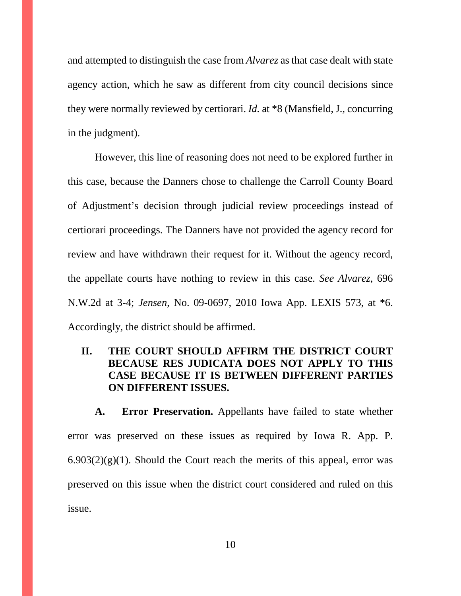and attempted to distinguish the case from *Alvarez* as that case dealt with state agency action, which he saw as different from city council decisions since they were normally reviewed by certiorari. *Id.* at \*8 (Mansfield, J., concurring in the judgment).

However, this line of reasoning does not need to be explored further in this case, because the Danners chose to challenge the Carroll County Board of Adjustment's decision through judicial review proceedings instead of certiorari proceedings. The Danners have not provided the agency record for review and have withdrawn their request for it. Without the agency record, the appellate courts have nothing to review in this case. *See Alvarez*, 696 N.W.2d at 3-4; *Jensen*, No. 09-0697, 2010 Iowa App. LEXIS 573, at \*6. Accordingly, the district should be affirmed.

## **II. THE COURT SHOULD AFFIRM THE DISTRICT COURT BECAUSE RES JUDICATA DOES NOT APPLY TO THIS CASE BECAUSE IT IS BETWEEN DIFFERENT PARTIES ON DIFFERENT ISSUES.**

**A. Error Preservation.** Appellants have failed to state whether error was preserved on these issues as required by Iowa R. App. P.  $6.903(2)(g)(1)$ . Should the Court reach the merits of this appeal, error was preserved on this issue when the district court considered and ruled on this issue.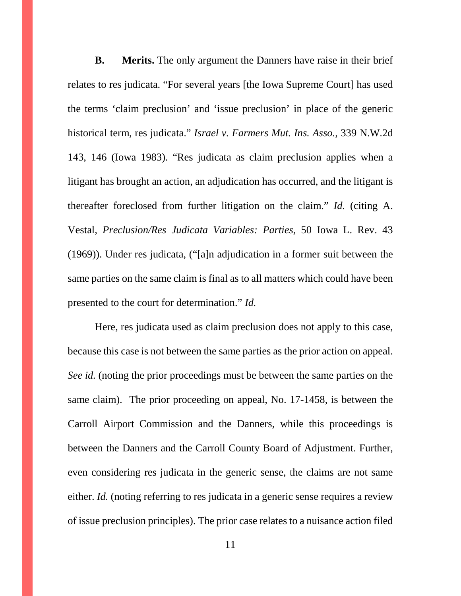**B. Merits.** The only argument the Danners have raise in their brief relates to res judicata. "For several years [the Iowa Supreme Court] has used the terms 'claim preclusion' and 'issue preclusion' in place of the generic historical term, res judicata." *Israel v. Farmers Mut. Ins. Asso.*, 339 N.W.2d 143, 146 (Iowa 1983). "Res judicata as claim preclusion applies when a litigant has brought an action, an adjudication has occurred, and the litigant is thereafter foreclosed from further litigation on the claim." *Id.* (citing A. Vestal, *Preclusion/Res Judicata Variables: Parties*, 50 Iowa L. Rev. 43 (1969)). Under res judicata, ("[a]n adjudication in a former suit between the same parties on the same claim is final as to all matters which could have been presented to the court for determination." *Id.* 

Here, res judicata used as claim preclusion does not apply to this case, because this case is not between the same parties as the prior action on appeal. *See id.* (noting the prior proceedings must be between the same parties on the same claim). The prior proceeding on appeal, No. 17-1458, is between the Carroll Airport Commission and the Danners, while this proceedings is between the Danners and the Carroll County Board of Adjustment. Further, even considering res judicata in the generic sense, the claims are not same either. *Id.* (noting referring to res judicata in a generic sense requires a review of issue preclusion principles). The prior case relates to a nuisance action filed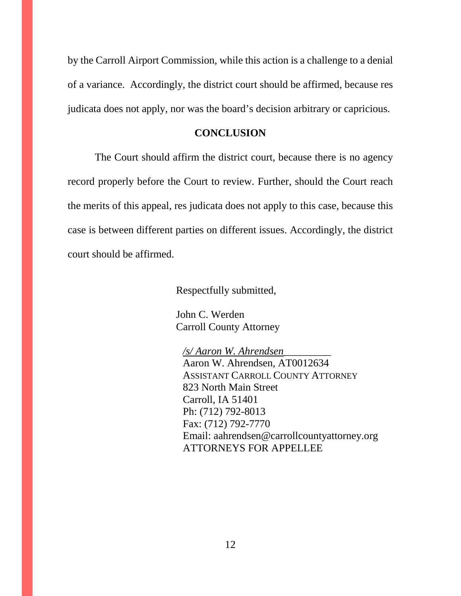by the Carroll Airport Commission, while this action is a challenge to a denial of a variance. Accordingly, the district court should be affirmed, because res judicata does not apply, nor was the board's decision arbitrary or capricious.

### **CONCLUSION**

The Court should affirm the district court, because there is no agency record properly before the Court to review. Further, should the Court reach the merits of this appeal, res judicata does not apply to this case, because this case is between different parties on different issues. Accordingly, the district court should be affirmed.

Respectfully submitted,

John C. Werden Carroll County Attorney

*/s/ Aaron W. Ahrendsen\_\_\_\_\_\_\_\_\_* Aaron W. Ahrendsen, AT0012634 ASSISTANT CARROLL COUNTY ATTORNEY 823 North Main Street Carroll, IA 51401 Ph: (712) 792-8013 Fax: (712) 792-7770 Email: aahrendsen@carrollcountyattorney.org ATTORNEYS FOR APPELLEE